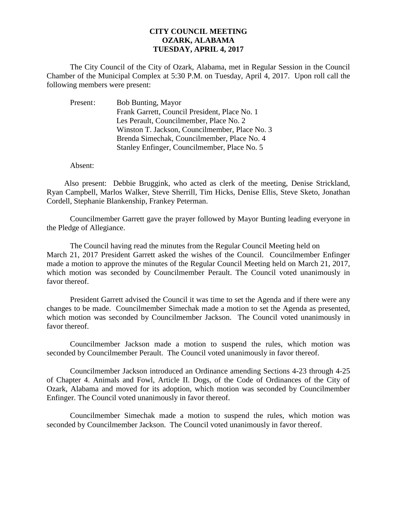## **CITY COUNCIL MEETING OZARK, ALABAMA TUESDAY, APRIL 4, 2017**

The City Council of the City of Ozark, Alabama, met in Regular Session in the Council Chamber of the Municipal Complex at 5:30 P.M. on Tuesday, April 4, 2017. Upon roll call the following members were present:

| Present: | <b>Bob Bunting, Mayor</b>                      |
|----------|------------------------------------------------|
|          | Frank Garrett, Council President, Place No. 1  |
|          | Les Perault, Councilmember, Place No. 2        |
|          | Winston T. Jackson, Councilmember, Place No. 3 |
|          | Brenda Simechak, Councilmember, Place No. 4    |
|          | Stanley Enfinger, Councilmember, Place No. 5   |

Absent:

Also present: Debbie Bruggink, who acted as clerk of the meeting, Denise Strickland, Ryan Campbell, Marlos Walker, Steve Sherrill, Tim Hicks, Denise Ellis, Steve Sketo, Jonathan Cordell, Stephanie Blankenship, Frankey Peterman.

Councilmember Garrett gave the prayer followed by Mayor Bunting leading everyone in the Pledge of Allegiance.

The Council having read the minutes from the Regular Council Meeting held on March 21, 2017 President Garrett asked the wishes of the Council. Councilmember Enfinger made a motion to approve the minutes of the Regular Council Meeting held on March 21, 2017, which motion was seconded by Councilmember Perault. The Council voted unanimously in favor thereof.

President Garrett advised the Council it was time to set the Agenda and if there were any changes to be made. Councilmember Simechak made a motion to set the Agenda as presented, which motion was seconded by Councilmember Jackson. The Council voted unanimously in favor thereof.

Councilmember Jackson made a motion to suspend the rules, which motion was seconded by Councilmember Perault. The Council voted unanimously in favor thereof.

Councilmember Jackson introduced an Ordinance amending Sections 4-23 through 4-25 of Chapter 4. Animals and Fowl, Article II. Dogs, of the Code of Ordinances of the City of Ozark, Alabama and moved for its adoption, which motion was seconded by Councilmember Enfinger. The Council voted unanimously in favor thereof.

 Councilmember Simechak made a motion to suspend the rules, which motion was seconded by Councilmember Jackson. The Council voted unanimously in favor thereof.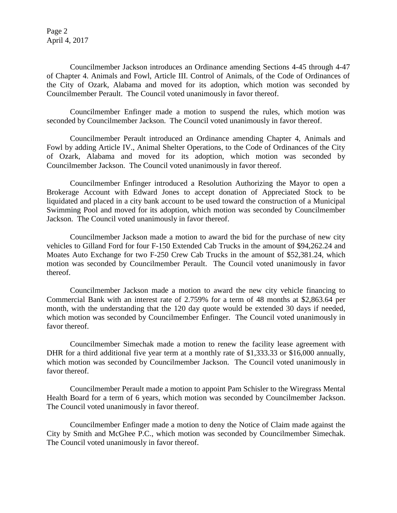Page 2 April 4, 2017

Councilmember Jackson introduces an Ordinance amending Sections 4-45 through 4-47 of Chapter 4. Animals and Fowl, Article III. Control of Animals, of the Code of Ordinances of the City of Ozark, Alabama and moved for its adoption, which motion was seconded by Councilmember Perault. The Council voted unanimously in favor thereof.

Councilmember Enfinger made a motion to suspend the rules, which motion was seconded by Councilmember Jackson. The Council voted unanimously in favor thereof.

Councilmember Perault introduced an Ordinance amending Chapter 4, Animals and Fowl by adding Article IV., Animal Shelter Operations, to the Code of Ordinances of the City of Ozark, Alabama and moved for its adoption, which motion was seconded by Councilmember Jackson. The Council voted unanimously in favor thereof.

Councilmember Enfinger introduced a Resolution Authorizing the Mayor to open a Brokerage Account with Edward Jones to accept donation of Appreciated Stock to be liquidated and placed in a city bank account to be used toward the construction of a Municipal Swimming Pool and moved for its adoption, which motion was seconded by Councilmember Jackson. The Council voted unanimously in favor thereof.

Councilmember Jackson made a motion to award the bid for the purchase of new city vehicles to Gilland Ford for four F-150 Extended Cab Trucks in the amount of \$94,262.24 and Moates Auto Exchange for two F-250 Crew Cab Trucks in the amount of \$52,381.24, which motion was seconded by Councilmember Perault. The Council voted unanimously in favor thereof.

Councilmember Jackson made a motion to award the new city vehicle financing to Commercial Bank with an interest rate of 2.759% for a term of 48 months at \$2,863.64 per month, with the understanding that the 120 day quote would be extended 30 days if needed, which motion was seconded by Councilmember Enfinger. The Council voted unanimously in favor thereof.

Councilmember Simechak made a motion to renew the facility lease agreement with DHR for a third additional five year term at a monthly rate of \$1,333.33 or \$16,000 annually, which motion was seconded by Councilmember Jackson. The Council voted unanimously in favor thereof.

Councilmember Perault made a motion to appoint Pam Schisler to the Wiregrass Mental Health Board for a term of 6 years, which motion was seconded by Councilmember Jackson. The Council voted unanimously in favor thereof.

Councilmember Enfinger made a motion to deny the Notice of Claim made against the City by Smith and McGhee P.C., which motion was seconded by Councilmember Simechak. The Council voted unanimously in favor thereof.